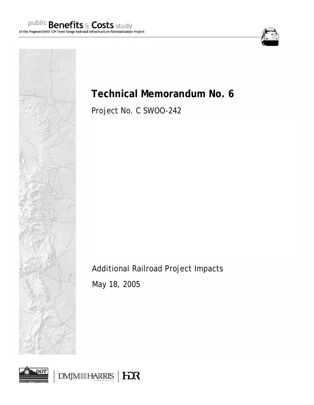



# **Technical Memorandum No. 6**

Project No. C SWOO-242

Additional Railroad Project Impacts

May 18, 2005

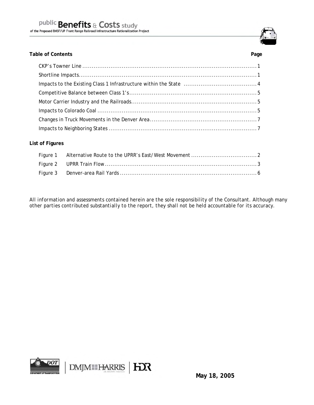### Table of Contents **Page**

## **List of Figures**

*All information and assessments contained herein are the sole responsibility of the Consultant. Although many other parties contributed substantially to the report, they shall not be held accountable for its accuracy.* 





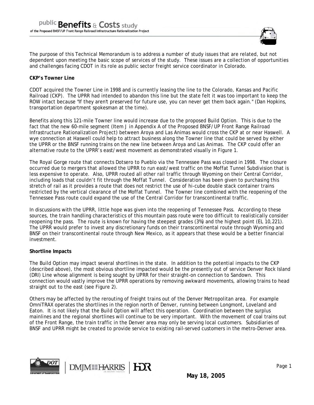The purpose of this Technical Memorandum is to address a number of study issues that are related, but not dependent upon meeting the basic scope of services of the study. These issues are a collection of opportunities and challenges facing CDOT in its role as public sector freight service coordinator in Colorado.

#### **CKP's Towner Line**

CDOT acquired the Towner Line in 1998 and is currently leasing the line to the Colorado, Kansas and Pacific Railroad (CKP). The UPRR had intended to abandon this line but the state felt it was too important to keep the ROW intact because "If they aren't preserved for future use, you can never get them back again." (Dan Hopkins, transportation department spokesman at the time).

Benefits along this 121-mile Towner line would increase due to the proposed Build Option. This is due to the fact that the new 60-mile segment (Item J in Appendix A of the Proposed BNSF/UP Front Range Railroad Infrastructure Rationalization Project) between Aroya and Las Animas would cross the CKP at or near Haswell. A wye connection at Haswell could help to attract business along the Towner line that could be served by either the UPRR or the BNSF running trains on the new line between Aroya and Las Animas. The CKP could offer an alternative route to the UPRR's east/west movement as demonstrated visually in Figure 1.

The Royal Gorge route that connects Dotsero to Pueblo via the Tennessee Pass was closed in 1998. The closure occurred due to mergers that allowed the UPRR to run east/west traffic on the Moffat Tunnel Subdivision that is less expensive to operate. Also, UPRR routed all other rail traffic through Wyoming on their Central Corridor, including loads that couldn't fit through the Moffat Tunnel. Consideration has been given to purchasing this stretch of rail as it provides a route that does not restrict the use of hi-cube double stack container trains restricted by the vertical clearance of the Moffat Tunnel. The Towner line combined with the reopening of the Tennessee Pass route could expand the use of the Central Corridor for transcontinental traffic.

In discussions with the UPRR, little hope was given into the reopening of Tennessee Pass. According to these sources, the train handling characteristics of this mountain pass route were too difficult to realistically consider reopening the pass. The route is known for having the steepest grades (3%) and the highest point (EL 10,221). The UPRR would prefer to invest any discretionary funds on their transcontinental route through Wyoming and BNSF on their transcontinental route through New Mexico, as it appears that these would be a better financial investment.

#### **Shortline Impacts**

The Build Option may impact several shortlines in the state. In addition to the potential impacts to the CKP (described above), the most obvious shortline impacted would be the presently out of service Denver Rock Island (DRI) Line whose alignment is being sought by UPRR for their straight-on connection to Sandown. This connection would vastly improve the UPRR operations by removing awkward movements, allowing trains to head straight out to the east (see Figure 2).

Others may be affected by the rerouting of freight trains out of the Denver Metropolitan area. For example OmniTRAX operates the shortlines in the region north of Denver, running between Longmont, Loveland and Eaton. It is not likely that the Build Option will affect this operation. Coordination between the surplus mainlines and the regional shortlines will continue to be very important. With the movement of coal trains out of the Front Range, the train traffic in the Denver area may only be serving local customers. Subsidiaries of BNSF and UPRR might be created to provide service to existing rail-served customers in the metro-Denver area.

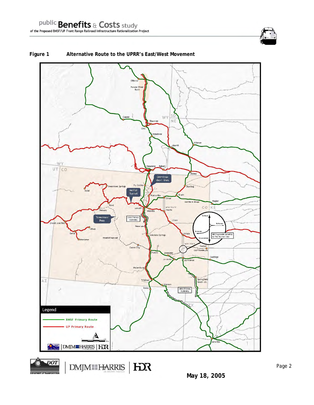

## **Figure 1 Alternative Route to the UPRR's East/West Movement**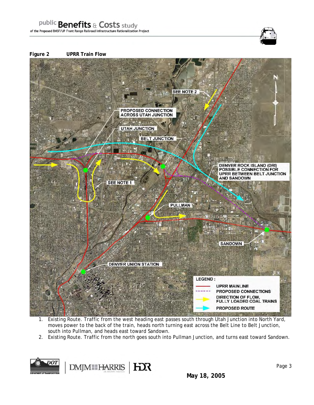



- 1. Existing Route. Traffic from the west heading east passes south through Utah Junction into North Yard, moves power to the back of the train, heads north turning east across the Belt Line to Belt Junction, south into Pullman, and heads east toward Sandown.
- 2. Existing Route. Traffic from the north goes south into Pullman Junction, and turns east toward Sandown.

DMJM HARRIS | HOR



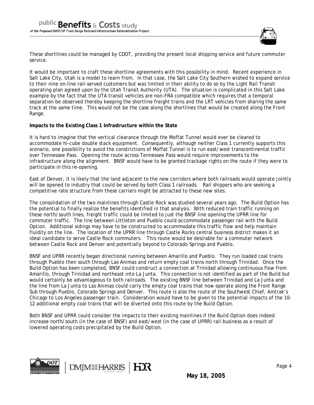

These shortlines could be managed by CDOT, providing the present local shipping service and future commuter service.

It would be important to craft these shortline agreements with this possibility in mind. Recent experience in Salt Lake City, Utah is a model to learn from. In that case, the Salt Lake City Southern wished to expand service to their nine on-line rail-served customers but was limited in their ability to do so by the Light Rail Transit operating plan agreed upon by the Utah Transit Authority (UTA). The situation is complicated in this Salt Lake example by the fact that the UTA transit vehicles are non-FRA compatible which requires that a temporal separation be observed thereby keeping the shortline freight trains and the LRT vehicles from sharing the same track at the same time. This would not be the case along the shortlines that would be created along the Front Range.

#### **Impacts to the Existing Class 1 Infrastructure within the State**

It is hard to imagine that the vertical clearance through the Moffat Tunnel would ever be cleared to accommodate hi-cube double stack equipment. Consequently, although neither Class 1 currently supports this scenario, one possibility to avoid the constrictions of Moffat Tunnel is to run east/west transcontinental traffic over Tennessee Pass. Opening the route across Tennessee Pass would require improvements to the infrastructure along the alignment. BNSF would have to be granted trackage rights on the route if they were to participate in this re-opening.

East of Denver, it is likely that the land adjacent to the new corridors where both railroads would operate jointly will be opened to industry that could be served by both Class 1 railroads. Rail shippers who are seeking a competitive rate structure from these carriers might be attracted to these new sites.

The consolidation of the two mainlines through Castle Rock was studied several years ago. The Build Option has the potential to finally realize the benefits identified in that analysis. With reduced train traffic running on these north/south lines, freight traffic could be limited to just the BNSF line opening the UPRR line for commuter traffic. The line between Littleton and Pueblo could accommodate passenger rail with the Build Option. Additional sidings may have to be constructed to accommodate this traffic flow and help maintain fluidity on the line. The location of the UPRR line through Castle Rocks central business district makes it an ideal candidate to serve Castle Rock commuters. This route would be desirable for a commuter network between Castle Rock and Denver and potentially beyond to Colorado Springs and Pueblo.

BNSF and UPRR recently began directional running between Amarillo and Pueblo. They run loaded coal trains through Pueblo then south through Las Animas and return empty coal trains north through Trinidad. Once the Build Option has been completed, BNSF could construct a connection at Trinidad allowing continuous flow from Amarillo, through Trinidad and northeast into La Junta. This connection is not identified as part of the Build but would certainly be advantageous to both railroads. The existing BNSF line between Trinidad and La Junta and the line from La Junta to Las Animas could carry the empty coal trains that now operate along the Front Range Sub through Pueblo, Colorado Springs and Denver. This route is also the route of the Southwest Chief, Amtrak's Chicago to Los Angeles passenger train. Consideration would have to be given to the potential impacts of the 10- 12 additional empty coal trains that will be diverted onto this route by the Build Option.

Both BNSF and UPRR could consider the impacts to their existing mainlines if the Build Option does indeed increase north/south (in the case of BNSF) and east/west (in the case of UPRR) rail business as a result of lowered operating costs precipitated by the Build Option.



**DMJM** HARRIS

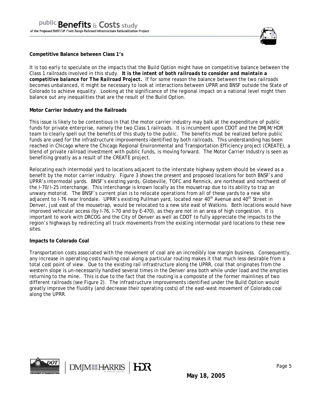

#### **Competitive Balance between Class 1's**

It is too early to speculate on the impacts that the Build Option might have on competitive balance between the Class 1 railroads involved in this study. *It is the intent of both railroads to consider and maintain a competitive balance for The Railroad Project.* If for some reason the balance between the two railroads becomes unbalanced, it might be necessary to look at interactions between UPRR and BNSF outside the State of Colorado to achieve equality. Looking at the significance of the regional impact on a national level might then balance out any inequalities that are the result of the Build Option.

#### **Motor Carrier Industry and the Railroads**

This issue is likely to be contentious in that the motor carrier industry may balk at the expenditure of public funds for private enterprise, namely the two Class 1 railroads. It is incumbent upon CDOT and the DMJM/HDR team to clearly spell out the benefits of this study to the public. The benefits must be realized before public funds are used for the infrastructure improvements identified by both railroads. This understanding has been reached in Chicago where the Chicago Regional Environmental and Transportation Efficiency project (CREATE), a blend of private railroad investment with public funds, is moving forward. The Motor Carrier Industry is seen as benefiting greatly as a result of the CREATE project.

Relocating each intermodal yard to locations adjacent to the interstate highway system should be viewed as a benefit by the motor carrier industry. Figure 3 shows the present and proposed locations for both BNSF's and UPRR's intermodal yards. BNSF's existing yards, Globeville, TOFC and Rennick, are northeast and northwest of the I-70/I-25 interchange. This interchange is known locally as *the mousetrap* due to its ability to trap an unwary motorist. The BNSF's current plan is to relocate operations from all of these yards to a new site adjacent to I-76 near Irondale. UPRR's existing Pullman yard, located near 40<sup>th</sup> Avenue and 40<sup>th</sup> Street in Denver, just east of the mousetrap, would be relocated to a new site east of Watkins. Both locations would have improved vehicular access (by I-76, I-70 and by E-470), as they are not in an area of high congestion. It is important to work with DRCOG and the City of Denver as well as CDOT to fully appreciate the impacts to the region's highways by redirecting all truck movements from the existing intermodal yard locations to these new sites.

#### **Impacts to Colorado Coal**

Transportation costs associated with the movement of coal are an incredibly low margin business. Consequently, any increase in operating costs hauling coal along a particular routing makes it that much less desirable from a total cost point of view. Due to the existing rail infrastructure along the UPRR, coal that originates from the western slope is un-necessarily handled several times in the Denver area both while under load and the empties returning to the mine. This is due to the fact that the routing is a composite of the former mainlines of two different railroads (see Figure 2). The infrastructure improvements identified under the Build Option would greatly improve the fluidity (and decrease their operating costs) of the east-west movement of Colorado coal along the UPRR.

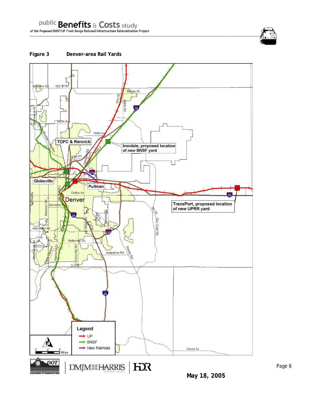

## **Figure 3 Denver-area Rail Yards**

**May 18, 2005**